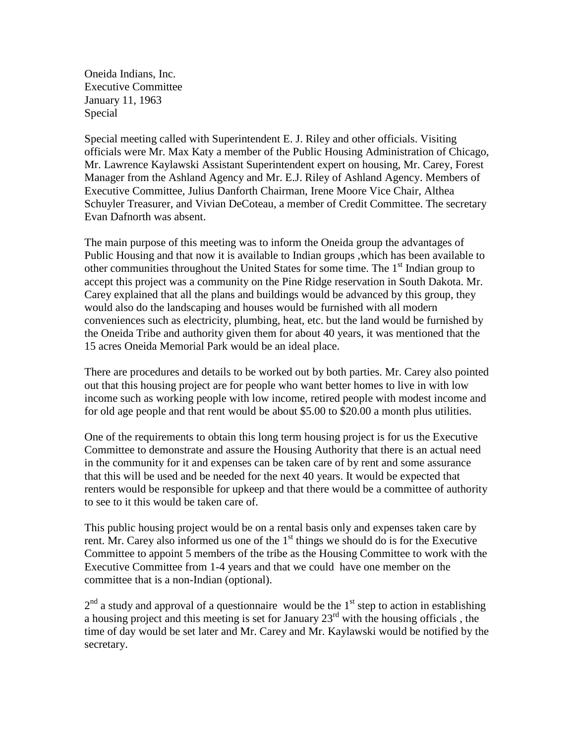Oneida Indians, Inc. Executive Committee January 11, 1963 Special

Special meeting called with Superintendent E. J. Riley and other officials. Visiting officials were Mr. Max Katy a member of the Public Housing Administration of Chicago, Mr. Lawrence Kaylawski Assistant Superintendent expert on housing, Mr. Carey, Forest Manager from the Ashland Agency and Mr. E.J. Riley of Ashland Agency. Members of Executive Committee, Julius Danforth Chairman, Irene Moore Vice Chair, Althea Schuyler Treasurer, and Vivian DeCoteau, a member of Credit Committee. The secretary Evan Dafnorth was absent.

The main purpose of this meeting was to inform the Oneida group the advantages of Public Housing and that now it is available to Indian groups ,which has been available to other communities throughout the United States for some time. The  $1<sup>st</sup>$  Indian group to accept this project was a community on the Pine Ridge reservation in South Dakota. Mr. Carey explained that all the plans and buildings would be advanced by this group, they would also do the landscaping and houses would be furnished with all modern conveniences such as electricity, plumbing, heat, etc. but the land would be furnished by the Oneida Tribe and authority given them for about 40 years, it was mentioned that the 15 acres Oneida Memorial Park would be an ideal place.

There are procedures and details to be worked out by both parties. Mr. Carey also pointed out that this housing project are for people who want better homes to live in with low income such as working people with low income, retired people with modest income and for old age people and that rent would be about \$5.00 to \$20.00 a month plus utilities.

One of the requirements to obtain this long term housing project is for us the Executive Committee to demonstrate and assure the Housing Authority that there is an actual need in the community for it and expenses can be taken care of by rent and some assurance that this will be used and be needed for the next 40 years. It would be expected that renters would be responsible for upkeep and that there would be a committee of authority to see to it this would be taken care of.

This public housing project would be on a rental basis only and expenses taken care by rent. Mr. Carey also informed us one of the  $1<sup>st</sup>$  things we should do is for the Executive Committee to appoint 5 members of the tribe as the Housing Committee to work with the Executive Committee from 1-4 years and that we could have one member on the committee that is a non-Indian (optional).

 $2<sup>nd</sup>$  a study and approval of a questionnaire would be the 1<sup>st</sup> step to action in establishing a housing project and this meeting is set for January  $23<sup>rd</sup>$  with the housing officials, the time of day would be set later and Mr. Carey and Mr. Kaylawski would be notified by the secretary.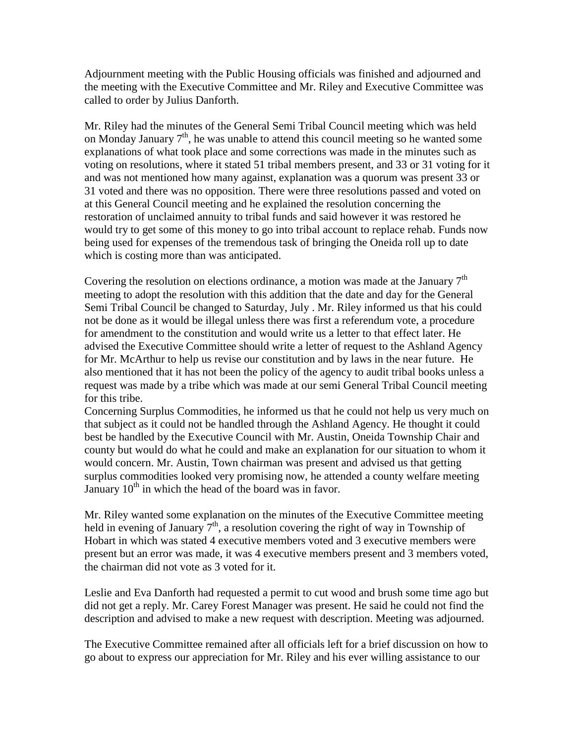Adjournment meeting with the Public Housing officials was finished and adjourned and the meeting with the Executive Committee and Mr. Riley and Executive Committee was called to order by Julius Danforth.

Mr. Riley had the minutes of the General Semi Tribal Council meeting which was held on Monday January  $7<sup>th</sup>$ , he was unable to attend this council meeting so he wanted some explanations of what took place and some corrections was made in the minutes such as voting on resolutions, where it stated 51 tribal members present, and 33 or 31 voting for it and was not mentioned how many against, explanation was a quorum was present 33 or 31 voted and there was no opposition. There were three resolutions passed and voted on at this General Council meeting and he explained the resolution concerning the restoration of unclaimed annuity to tribal funds and said however it was restored he would try to get some of this money to go into tribal account to replace rehab. Funds now being used for expenses of the tremendous task of bringing the Oneida roll up to date which is costing more than was anticipated.

Covering the resolution on elections ordinance, a motion was made at the January  $7<sup>th</sup>$ meeting to adopt the resolution with this addition that the date and day for the General Semi Tribal Council be changed to Saturday, July . Mr. Riley informed us that his could not be done as it would be illegal unless there was first a referendum vote, a procedure for amendment to the constitution and would write us a letter to that effect later. He advised the Executive Committee should write a letter of request to the Ashland Agency for Mr. McArthur to help us revise our constitution and by laws in the near future. He also mentioned that it has not been the policy of the agency to audit tribal books unless a request was made by a tribe which was made at our semi General Tribal Council meeting for this tribe.

Concerning Surplus Commodities, he informed us that he could not help us very much on that subject as it could not be handled through the Ashland Agency. He thought it could best be handled by the Executive Council with Mr. Austin, Oneida Township Chair and county but would do what he could and make an explanation for our situation to whom it would concern. Mr. Austin, Town chairman was present and advised us that getting surplus commodities looked very promising now, he attended a county welfare meeting January  $10^{th}$  in which the head of the board was in favor.

Mr. Riley wanted some explanation on the minutes of the Executive Committee meeting held in evening of January  $7<sup>th</sup>$ , a resolution covering the right of way in Township of Hobart in which was stated 4 executive members voted and 3 executive members were present but an error was made, it was 4 executive members present and 3 members voted, the chairman did not vote as 3 voted for it.

Leslie and Eva Danforth had requested a permit to cut wood and brush some time ago but did not get a reply. Mr. Carey Forest Manager was present. He said he could not find the description and advised to make a new request with description. Meeting was adjourned.

The Executive Committee remained after all officials left for a brief discussion on how to go about to express our appreciation for Mr. Riley and his ever willing assistance to our